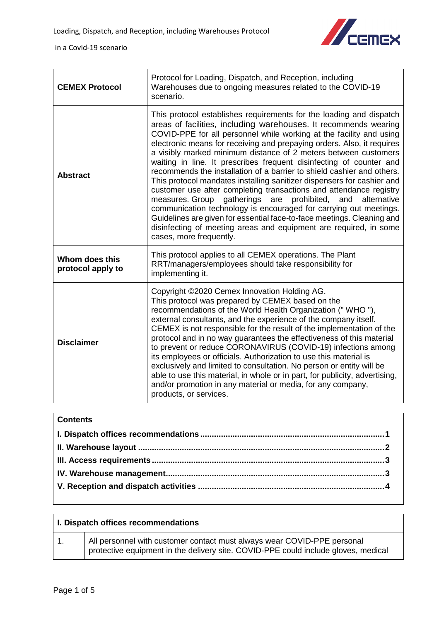

 $\overline{\mathbf{I}}$ 

in a Covid-19 scenario

| <b>CEMEX Protocol</b>               | Protocol for Loading, Dispatch, and Reception, including<br>Warehouses due to ongoing measures related to the COVID-19<br>scenario.                                                                                                                                                                                                                                                                                                                                                                                                                                                                                                                                                                                                                                                                                                                                                                                                                                                |
|-------------------------------------|------------------------------------------------------------------------------------------------------------------------------------------------------------------------------------------------------------------------------------------------------------------------------------------------------------------------------------------------------------------------------------------------------------------------------------------------------------------------------------------------------------------------------------------------------------------------------------------------------------------------------------------------------------------------------------------------------------------------------------------------------------------------------------------------------------------------------------------------------------------------------------------------------------------------------------------------------------------------------------|
| <b>Abstract</b>                     | This protocol establishes requirements for the loading and dispatch<br>areas of facilities, including warehouses. It recommends wearing<br>COVID-PPE for all personnel while working at the facility and using<br>electronic means for receiving and prepaying orders. Also, it requires<br>a visibly marked minimum distance of 2 meters between customers<br>waiting in line. It prescribes frequent disinfecting of counter and<br>recommends the installation of a barrier to shield cashier and others.<br>This protocol mandates installing sanitizer dispensers for cashier and<br>customer use after completing transactions and attendance registry<br>measures. Group gatherings<br>prohibited, and<br>are<br>alternative<br>communication technology is encouraged for carrying out meetings.<br>Guidelines are given for essential face-to-face meetings. Cleaning and<br>disinfecting of meeting areas and equipment are required, in some<br>cases, more frequently. |
| Whom does this<br>protocol apply to | This protocol applies to all CEMEX operations. The Plant<br>RRT/managers/employees should take responsibility for<br>implementing it.                                                                                                                                                                                                                                                                                                                                                                                                                                                                                                                                                                                                                                                                                                                                                                                                                                              |
| <b>Disclaimer</b>                   | Copyright ©2020 Cemex Innovation Holding AG.<br>This protocol was prepared by CEMEX based on the<br>recommendations of the World Health Organization ("WHO"),<br>external consultants, and the experience of the company itself.<br>CEMEX is not responsible for the result of the implementation of the<br>protocol and in no way guarantees the effectiveness of this material<br>to prevent or reduce CORONAVIRUS (COVID-19) infections among<br>its employees or officials. Authorization to use this material is<br>exclusively and limited to consultation. No person or entity will be<br>able to use this material, in whole or in part, for publicity, advertising,<br>and/or promotion in any material or media, for any company,<br>products, or services.                                                                                                                                                                                                              |

## **Contents**

<span id="page-0-0"></span>

| I. Dispatch offices recommendations |                                                                                                                                                               |
|-------------------------------------|---------------------------------------------------------------------------------------------------------------------------------------------------------------|
|                                     | All personnel with customer contact must always wear COVID-PPE personal<br>protective equipment in the delivery site. COVID-PPE could include gloves, medical |

 $\overline{1}$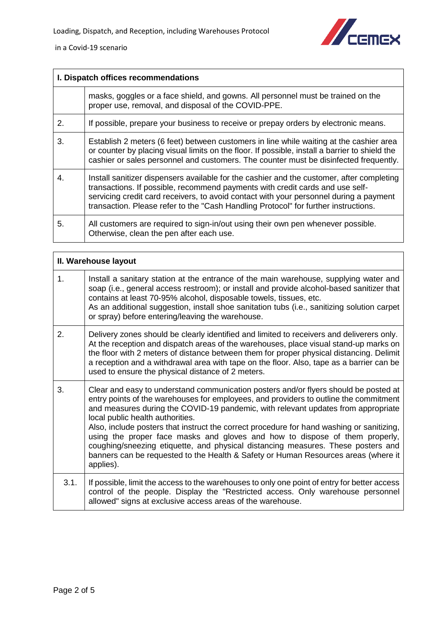



| I. Dispatch offices recommendations |                                                                                                                                                                                                                                                                                                                                                             |
|-------------------------------------|-------------------------------------------------------------------------------------------------------------------------------------------------------------------------------------------------------------------------------------------------------------------------------------------------------------------------------------------------------------|
|                                     | masks, goggles or a face shield, and gowns. All personnel must be trained on the<br>proper use, removal, and disposal of the COVID-PPE.                                                                                                                                                                                                                     |
| 2.                                  | If possible, prepare your business to receive or prepay orders by electronic means.                                                                                                                                                                                                                                                                         |
| 3.                                  | Establish 2 meters (6 feet) between customers in line while waiting at the cashier area<br>or counter by placing visual limits on the floor. If possible, install a barrier to shield the<br>cashier or sales personnel and customers. The counter must be disinfected frequently.                                                                          |
| 4.                                  | Install sanitizer dispensers available for the cashier and the customer, after completing<br>transactions. If possible, recommend payments with credit cards and use self-<br>servicing credit card receivers, to avoid contact with your personnel during a payment<br>transaction. Please refer to the "Cash Handling Protocol" for further instructions. |
| 5.                                  | All customers are required to sign-in/out using their own pen whenever possible.<br>Otherwise, clean the pen after each use.                                                                                                                                                                                                                                |

<span id="page-1-0"></span>

| II. Warehouse layout |                                                                                                                                                                                                                                                                                                                                                                                                                                                                                                                                                                                                                                                                           |
|----------------------|---------------------------------------------------------------------------------------------------------------------------------------------------------------------------------------------------------------------------------------------------------------------------------------------------------------------------------------------------------------------------------------------------------------------------------------------------------------------------------------------------------------------------------------------------------------------------------------------------------------------------------------------------------------------------|
| 1 <sub>1</sub>       | Install a sanitary station at the entrance of the main warehouse, supplying water and<br>soap (i.e., general access restroom); or install and provide alcohol-based sanitizer that<br>contains at least 70-95% alcohol, disposable towels, tissues, etc.<br>As an additional suggestion, install shoe sanitation tubs (i.e., sanitizing solution carpet<br>or spray) before entering/leaving the warehouse.                                                                                                                                                                                                                                                               |
| 2.                   | Delivery zones should be clearly identified and limited to receivers and deliverers only.<br>At the reception and dispatch areas of the warehouses, place visual stand-up marks on<br>the floor with 2 meters of distance between them for proper physical distancing. Delimit<br>a reception and a withdrawal area with tape on the floor. Also, tape as a barrier can be<br>used to ensure the physical distance of 2 meters.                                                                                                                                                                                                                                           |
| 3.                   | Clear and easy to understand communication posters and/or flyers should be posted at<br>entry points of the warehouses for employees, and providers to outline the commitment<br>and measures during the COVID-19 pandemic, with relevant updates from appropriate<br>local public health authorities.<br>Also, include posters that instruct the correct procedure for hand washing or sanitizing,<br>using the proper face masks and gloves and how to dispose of them properly,<br>coughing/sneezing etiquette, and physical distancing measures. These posters and<br>banners can be requested to the Health & Safety or Human Resources areas (where it<br>applies). |
| 3.1.                 | If possible, limit the access to the warehouses to only one point of entry for better access<br>control of the people. Display the "Restricted access. Only warehouse personnel<br>allowed" signs at exclusive access areas of the warehouse.                                                                                                                                                                                                                                                                                                                                                                                                                             |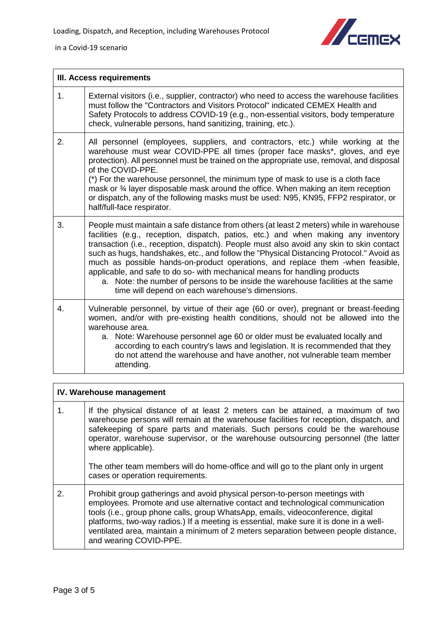



<span id="page-2-0"></span>

| III. Access requirements |                                                                                                                                                                                                                                                                                                                                                                                                                                                                                                                                                                                                                                                                              |
|--------------------------|------------------------------------------------------------------------------------------------------------------------------------------------------------------------------------------------------------------------------------------------------------------------------------------------------------------------------------------------------------------------------------------------------------------------------------------------------------------------------------------------------------------------------------------------------------------------------------------------------------------------------------------------------------------------------|
| 1.                       | External visitors (i.e., supplier, contractor) who need to access the warehouse facilities<br>must follow the "Contractors and Visitors Protocol" indicated CEMEX Health and<br>Safety Protocols to address COVID-19 (e.g., non-essential visitors, body temperature<br>check, vulnerable persons, hand sanitizing, training, etc.).                                                                                                                                                                                                                                                                                                                                         |
| 2.                       | All personnel (employees, suppliers, and contractors, etc.) while working at the<br>warehouse must wear COVID-PPE all times (proper face masks*, gloves, and eye<br>protection). All personnel must be trained on the appropriate use, removal, and disposal<br>of the COVID-PPE.<br>(*) For the warehouse personnel, the minimum type of mask to use is a cloth face<br>mask or 3⁄4 layer disposable mask around the office. When making an item reception<br>or dispatch, any of the following masks must be used: N95, KN95, FFP2 respirator, or<br>half/full-face respirator.                                                                                            |
| 3.                       | People must maintain a safe distance from others (at least 2 meters) while in warehouse<br>facilities (e.g., reception, dispatch, patios, etc.) and when making any inventory<br>transaction (i.e., reception, dispatch). People must also avoid any skin to skin contact<br>such as hugs, handshakes, etc., and follow the "Physical Distancing Protocol." Avoid as<br>much as possible hands-on-product operations, and replace them -when feasible,<br>applicable, and safe to do so- with mechanical means for handling products<br>a. Note: the number of persons to be inside the warehouse facilities at the same<br>time will depend on each warehouse's dimensions. |
| 4.                       | Vulnerable personnel, by virtue of their age (60 or over), pregnant or breast-feeding<br>women, and/or with pre-existing health conditions, should not be allowed into the<br>warehouse area.<br>a. Note: Warehouse personnel age 60 or older must be evaluated locally and<br>according to each country's laws and legislation. It is recommended that they<br>do not attend the warehouse and have another, not vulnerable team member<br>attending.                                                                                                                                                                                                                       |

<span id="page-2-1"></span>

| IV. Warehouse management |                                                                                                                                                                                                                                                                                                                                                                                                                                                                                                  |
|--------------------------|--------------------------------------------------------------------------------------------------------------------------------------------------------------------------------------------------------------------------------------------------------------------------------------------------------------------------------------------------------------------------------------------------------------------------------------------------------------------------------------------------|
| 1.                       | If the physical distance of at least 2 meters can be attained, a maximum of two<br>warehouse persons will remain at the warehouse facilities for reception, dispatch, and<br>safekeeping of spare parts and materials. Such persons could be the warehouse<br>operator, warehouse supervisor, or the warehouse outsourcing personnel (the latter<br>where applicable).<br>The other team members will do home-office and will go to the plant only in urgent<br>cases or operation requirements. |
| 2.                       | Prohibit group gatherings and avoid physical person-to-person meetings with<br>employees. Promote and use alternative contact and technological communication<br>tools (i.e., group phone calls, group WhatsApp, emails, videoconference, digital<br>platforms, two-way radios.) If a meeting is essential, make sure it is done in a well-<br>ventilated area, maintain a minimum of 2 meters separation between people distance,<br>and wearing COVID-PPE.                                     |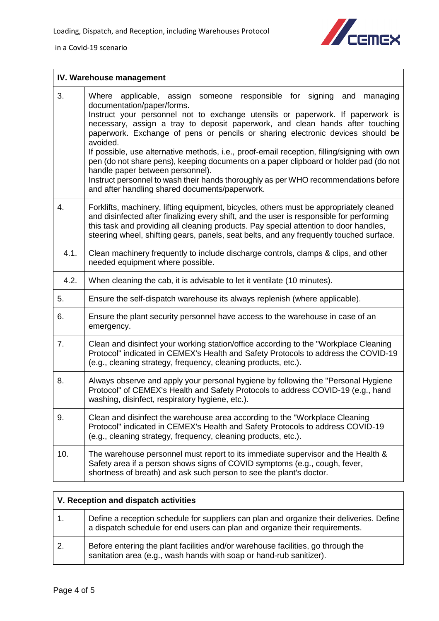

in a Covid-19 scenario

| IV. Warehouse management |                                                                                                                                                                                                                                                                                                                                                                                                                                                                                                                                                                                                                                                                                                                                                    |
|--------------------------|----------------------------------------------------------------------------------------------------------------------------------------------------------------------------------------------------------------------------------------------------------------------------------------------------------------------------------------------------------------------------------------------------------------------------------------------------------------------------------------------------------------------------------------------------------------------------------------------------------------------------------------------------------------------------------------------------------------------------------------------------|
| 3.                       | applicable, assign<br>someone responsible for signing and<br>Where<br>managing<br>documentation/paper/forms.<br>Instruct your personnel not to exchange utensils or paperwork. If paperwork is<br>necessary, assign a tray to deposit paperwork, and clean hands after touching<br>paperwork. Exchange of pens or pencils or sharing electronic devices should be<br>avoided.<br>If possible, use alternative methods, i.e., proof-email reception, filling/signing with own<br>pen (do not share pens), keeping documents on a paper clipboard or holder pad (do not<br>handle paper between personnel).<br>Instruct personnel to wash their hands thoroughly as per WHO recommendations before<br>and after handling shared documents/paperwork. |
| 4.                       | Forklifts, machinery, lifting equipment, bicycles, others must be appropriately cleaned<br>and disinfected after finalizing every shift, and the user is responsible for performing<br>this task and providing all cleaning products. Pay special attention to door handles,<br>steering wheel, shifting gears, panels, seat belts, and any frequently touched surface.                                                                                                                                                                                                                                                                                                                                                                            |
| 4.1.                     | Clean machinery frequently to include discharge controls, clamps & clips, and other<br>needed equipment where possible.                                                                                                                                                                                                                                                                                                                                                                                                                                                                                                                                                                                                                            |
| 4.2.                     | When cleaning the cab, it is advisable to let it ventilate (10 minutes).                                                                                                                                                                                                                                                                                                                                                                                                                                                                                                                                                                                                                                                                           |
| 5.                       | Ensure the self-dispatch warehouse its always replenish (where applicable).                                                                                                                                                                                                                                                                                                                                                                                                                                                                                                                                                                                                                                                                        |
| 6.                       | Ensure the plant security personnel have access to the warehouse in case of an<br>emergency.                                                                                                                                                                                                                                                                                                                                                                                                                                                                                                                                                                                                                                                       |
| 7.                       | Clean and disinfect your working station/office according to the "Workplace Cleaning<br>Protocol" indicated in CEMEX's Health and Safety Protocols to address the COVID-19<br>(e.g., cleaning strategy, frequency, cleaning products, etc.).                                                                                                                                                                                                                                                                                                                                                                                                                                                                                                       |
| 8.                       | Always observe and apply your personal hygiene by following the "Personal Hygiene<br>Protocol" of CEMEX's Health and Safety Protocols to address COVID-19 (e.g., hand<br>washing, disinfect, respiratory hygiene, etc.).                                                                                                                                                                                                                                                                                                                                                                                                                                                                                                                           |
| 9.                       | Clean and disinfect the warehouse area according to the "Workplace Cleaning"<br>Protocol" indicated in CEMEX's Health and Safety Protocols to address COVID-19<br>(e.g., cleaning strategy, frequency, cleaning products, etc.).                                                                                                                                                                                                                                                                                                                                                                                                                                                                                                                   |
| 10.                      | The warehouse personnel must report to its immediate supervisor and the Health &<br>Safety area if a person shows signs of COVID symptoms (e.g., cough, fever,<br>shortness of breath) and ask such person to see the plant's doctor.                                                                                                                                                                                                                                                                                                                                                                                                                                                                                                              |

<span id="page-3-0"></span>

| V. Reception and dispatch activities |                                                                                                                                                                         |
|--------------------------------------|-------------------------------------------------------------------------------------------------------------------------------------------------------------------------|
| 1.                                   | Define a reception schedule for suppliers can plan and organize their deliveries. Define<br>a dispatch schedule for end users can plan and organize their requirements. |
| 2.                                   | Before entering the plant facilities and/or warehouse facilities, go through the<br>sanitation area (e.g., wash hands with soap or hand-rub sanitizer).                 |